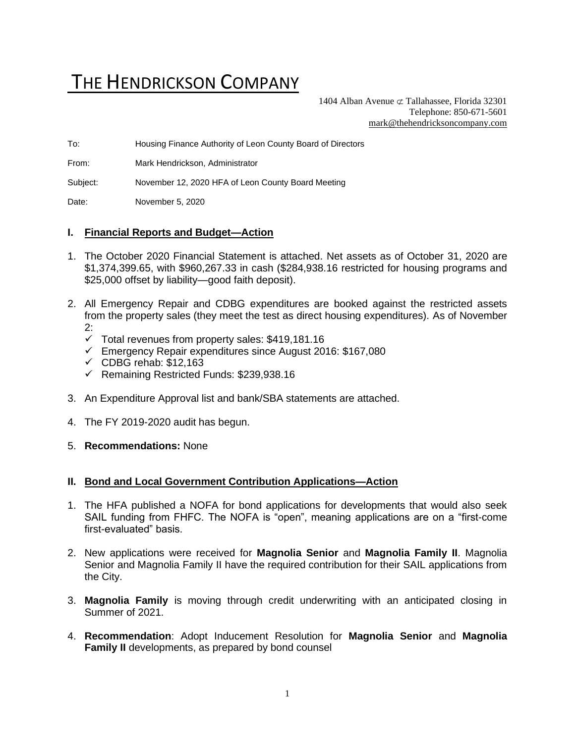# THE HENDRICKSON COMPANY

1404 Alban Avenue  $\sigma$  Tallahassee, Florida 32301 Telephone: 850-671-5601 [mark@thehendricksoncompany.com](mailto:mark@thehendricksoncompany.com)

To: Housing Finance Authority of Leon County Board of Directors

From: Mark Hendrickson, Administrator

Subject: November 12, 2020 HFA of Leon County Board Meeting

Date: November 5, 2020

#### **I. Financial Reports and Budget—Action**

- 1. The October 2020 Financial Statement is attached. Net assets as of October 31, 2020 are \$1,374,399.65, with \$960,267.33 in cash (\$284,938.16 restricted for housing programs and \$25,000 offset by liability—good faith deposit).
- 2. All Emergency Repair and CDBG expenditures are booked against the restricted assets from the property sales (they meet the test as direct housing expenditures). As of November 2:
	- $\checkmark$  Total revenues from property sales: \$419,181.16
	- ✓ Emergency Repair expenditures since August 2016: \$167,080
	- $\checkmark$  CDBG rehab: \$12,163
	- ✓ Remaining Restricted Funds: \$239,938.16
- 3. An Expenditure Approval list and bank/SBA statements are attached.
- 4. The FY 2019-2020 audit has begun.
- 5. **Recommendations:** None

#### **II. Bond and Local Government Contribution Applications—Action**

- 1. The HFA published a NOFA for bond applications for developments that would also seek SAIL funding from FHFC. The NOFA is "open", meaning applications are on a "first-come first-evaluated" basis.
- 2. New applications were received for **Magnolia Senior** and **Magnolia Family II**. Magnolia Senior and Magnolia Family II have the required contribution for their SAIL applications from the City.
- 3. **Magnolia Family** is moving through credit underwriting with an anticipated closing in Summer of 2021.
- 4. **Recommendation**: Adopt Inducement Resolution for **Magnolia Senior** and **Magnolia Family II** developments, as prepared by bond counsel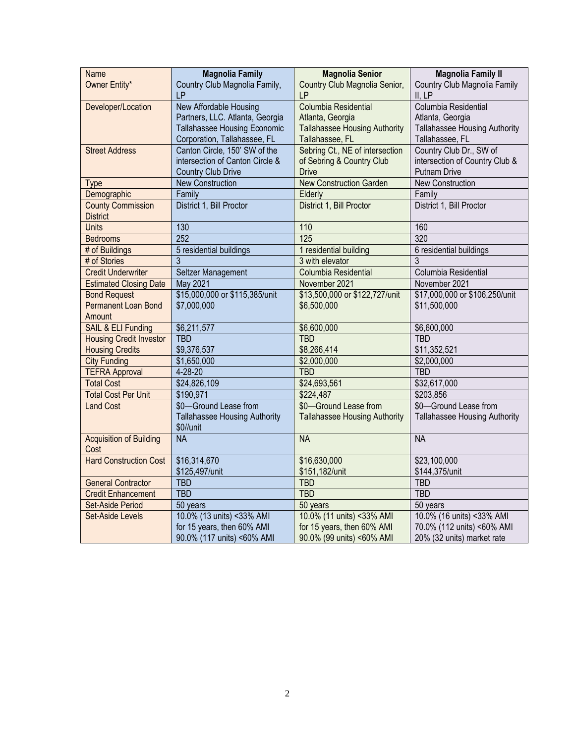| Name                           | <b>Magnolia Family</b>               | <b>Magnolia Senior</b>               | <b>Magnolia Family II</b>            |  |
|--------------------------------|--------------------------------------|--------------------------------------|--------------------------------------|--|
| Owner Entity*                  | Country Club Magnolia Family,        | Country Club Magnolia Senior,        | Country Club Magnolia Family         |  |
|                                | LP                                   | LP                                   | II, LP                               |  |
| Developer/Location             | <b>New Affordable Housing</b>        | Columbia Residential                 | Columbia Residential                 |  |
|                                | Partners, LLC. Atlanta, Georgia      | Atlanta, Georgia                     | Atlanta, Georgia                     |  |
|                                | Tallahassee Housing Economic         | <b>Tallahassee Housing Authority</b> | <b>Tallahassee Housing Authority</b> |  |
|                                | Corporation, Tallahassee, FL         | Tallahassee, FL                      | Tallahassee, FL                      |  |
| <b>Street Address</b>          | Canton Circle, 150' SW of the        | Sebring Ct., NE of intersection      | Country Club Dr., SW of              |  |
|                                | intersection of Canton Circle &      | of Sebring & Country Club            | intersection of Country Club &       |  |
|                                | <b>Country Club Drive</b>            | <b>Drive</b>                         | Putnam Drive                         |  |
| <b>Type</b>                    | <b>New Construction</b>              | <b>New Construction Garden</b>       | <b>New Construction</b>              |  |
| Demographic                    | Family                               | Elderly                              | Family                               |  |
| <b>County Commission</b>       | District 1, Bill Proctor             | District 1, Bill Proctor             | District 1, Bill Proctor             |  |
| <b>District</b>                |                                      |                                      |                                      |  |
| <b>Units</b>                   | 130                                  | 110                                  | 160                                  |  |
| <b>Bedrooms</b>                | 252                                  | 125                                  | 320                                  |  |
| # of Buildings                 | 5 residential buildings              | 1 residential building               | 6 residential buildings              |  |
| # of Stories                   | 3                                    | 3 with elevator                      | 3                                    |  |
| <b>Credit Underwriter</b>      | Seltzer Management                   | Columbia Residential                 | Columbia Residential                 |  |
| <b>Estimated Closing Date</b>  | May 2021                             | November 2021                        | November 2021                        |  |
| <b>Bond Request</b>            | \$15,000,000 or \$115,385/unit       | \$13,500,000 or \$122,727/unit       | \$17,000,000 or \$106,250/unit       |  |
| Permanent Loan Bond            | \$7,000,000                          | \$6,500,000                          | \$11,500,000                         |  |
| Amount                         |                                      |                                      |                                      |  |
| SAIL & ELI Funding             | \$6,211,577                          | \$6,600,000                          | \$6,600,000                          |  |
| <b>Housing Credit Investor</b> | <b>TBD</b>                           | <b>TBD</b>                           | <b>TBD</b>                           |  |
| <b>Housing Credits</b>         | \$9,376,537                          | \$8,266,414                          | \$11,352,521                         |  |
| <b>City Funding</b>            | \$1,650,000                          | \$2,000,000                          | \$2,000,000                          |  |
| <b>TEFRA Approval</b>          | $4 - 28 - 20$                        | <b>TBD</b>                           | <b>TBD</b>                           |  |
| <b>Total Cost</b>              | \$24,826,109                         | \$24,693,561                         | \$32,617,000                         |  |
| <b>Total Cost Per Unit</b>     | \$190,971                            | \$224,487                            | \$203,856                            |  |
| <b>Land Cost</b>               | \$0-Ground Lease from                | \$0-Ground Lease from                | \$0-Ground Lease from                |  |
|                                | <b>Tallahassee Housing Authority</b> | <b>Tallahassee Housing Authority</b> | <b>Tallahassee Housing Authority</b> |  |
|                                | \$0//unit                            |                                      |                                      |  |
| <b>Acquisition of Building</b> | N <sub>A</sub>                       | <b>NA</b>                            | <b>NA</b>                            |  |
| Cost                           |                                      |                                      |                                      |  |
| <b>Hard Construction Cost</b>  | \$16,314,670                         | \$16,630,000                         | \$23,100,000                         |  |
|                                | \$125,497/unit                       | \$151,182/unit                       | \$144,375/unit                       |  |
| <b>General Contractor</b>      | <b>TBD</b>                           | <b>TBD</b>                           | <b>TBD</b>                           |  |
| <b>Credit Enhancement</b>      | <b>TBD</b>                           | <b>TBD</b>                           | <b>TBD</b>                           |  |
| Set-Aside Period               | 50 years                             | 50 years                             | 50 years                             |  |
| <b>Set-Aside Levels</b>        | 10.0% (13 units) <33% AMI            | 10.0% (11 units) <33% AMI            | 10.0% (16 units) <33% AMI            |  |
|                                | for 15 years, then 60% AMI           | for 15 years, then 60% AMI           | 70.0% (112 units) <60% AMI           |  |
|                                | 90.0% (117 units) <60% AMI           | 90.0% (99 units) <60% AMI            | 20% (32 units) market rate           |  |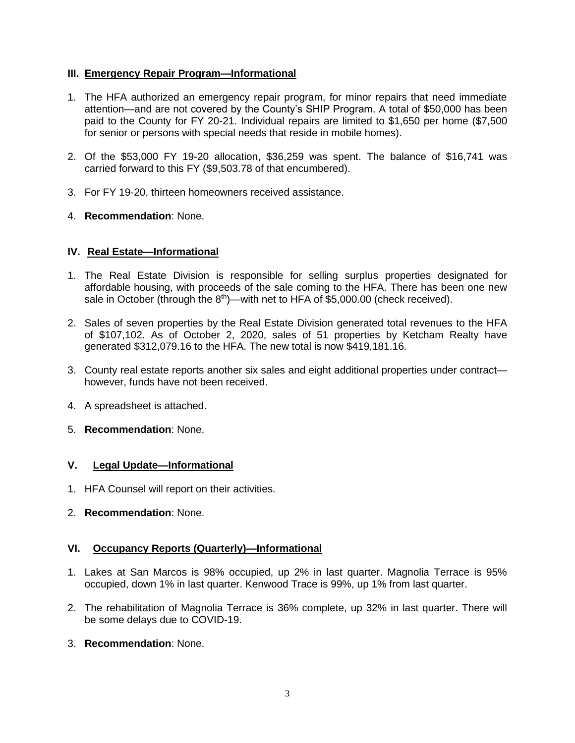#### **III. Emergency Repair Program—Informational**

- 1. The HFA authorized an emergency repair program, for minor repairs that need immediate attention—and are not covered by the County's SHIP Program. A total of \$50,000 has been paid to the County for FY 20-21. Individual repairs are limited to \$1,650 per home (\$7,500 for senior or persons with special needs that reside in mobile homes).
- 2. Of the \$53,000 FY 19-20 allocation, \$36,259 was spent. The balance of \$16,741 was carried forward to this FY (\$9,503.78 of that encumbered).
- 3. For FY 19-20, thirteen homeowners received assistance.
- 4. **Recommendation**: None.

## **IV. Real Estate—Informational**

- 1. The Real Estate Division is responsible for selling surplus properties designated for affordable housing, with proceeds of the sale coming to the HFA. There has been one new sale in October (through the  $8<sup>th</sup>$ )—with net to HFA of \$5,000.00 (check received).
- 2. Sales of seven properties by the Real Estate Division generated total revenues to the HFA of \$107,102. As of October 2, 2020, sales of 51 properties by Ketcham Realty have generated \$312,079.16 to the HFA. The new total is now \$419,181.16.
- 3. County real estate reports another six sales and eight additional properties under contract however, funds have not been received.
- 4. A spreadsheet is attached.
- 5. **Recommendation**: None.

#### **V. Legal Update—Informational**

- 1. HFA Counsel will report on their activities.
- 2. **Recommendation**: None.

## **VI. Occupancy Reports (Quarterly)—Informational**

- 1. Lakes at San Marcos is 98% occupied, up 2% in last quarter. Magnolia Terrace is 95% occupied, down 1% in last quarter. Kenwood Trace is 99%, up 1% from last quarter.
- 2. The rehabilitation of Magnolia Terrace is 36% complete, up 32% in last quarter. There will be some delays due to COVID-19.
- 3. **Recommendation**: None.